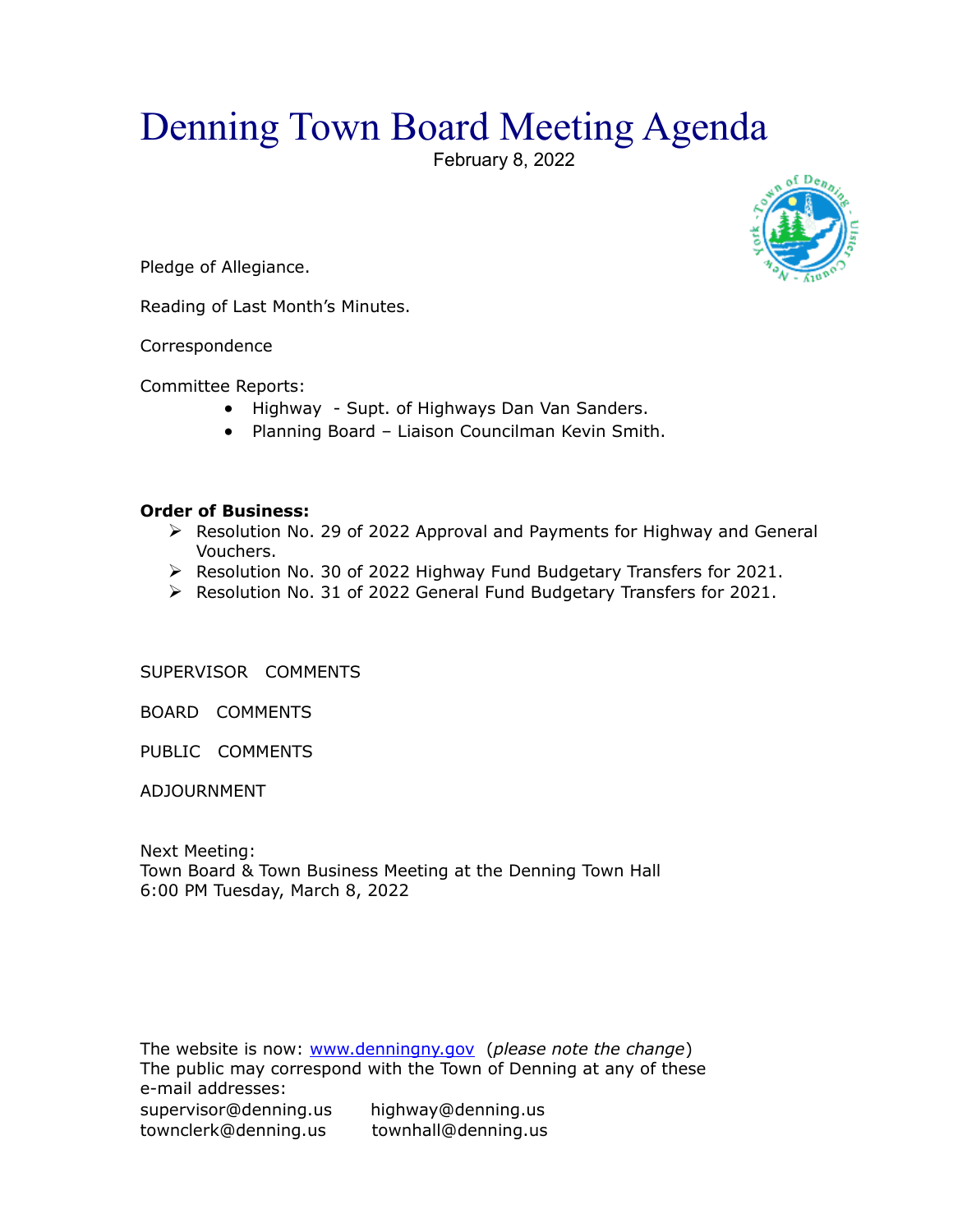## Denning Town Board Meeting Agenda

February 8, 2022



Pledge of Allegiance.

Reading of Last Month's Minutes.

**Correspondence** 

Committee Reports:

- Highway Supt. of Highways Dan Van Sanders.
- Planning Board Liaison Councilman Kevin Smith.

## **Order of Business:**

- Resolution No. 29 of 2022 Approval and Payments for Highway and General Vouchers.
- $\triangleright$  Resolution No. 30 of 2022 Highway Fund Budgetary Transfers for 2021.
- $\triangleright$  Resolution No. 31 of 2022 General Fund Budgetary Transfers for 2021.

SUPERVISOR COMMENTS

BOARD COMMENTS

PUBLIC COMMENTS

ADJOURNMENT

Next Meeting: Town Board & Town Business Meeting at the Denning Town Hall 6:00 PM Tuesday, March 8, 2022

The website is now: [www.denningny.gov](http://www.denningny.gov/) (*please note the change*) The public may correspond with the Town of Denning at any of these e-mail addresses: supervisor@denning.us highway@denning.us townclerk@denning.us townhall@denning.us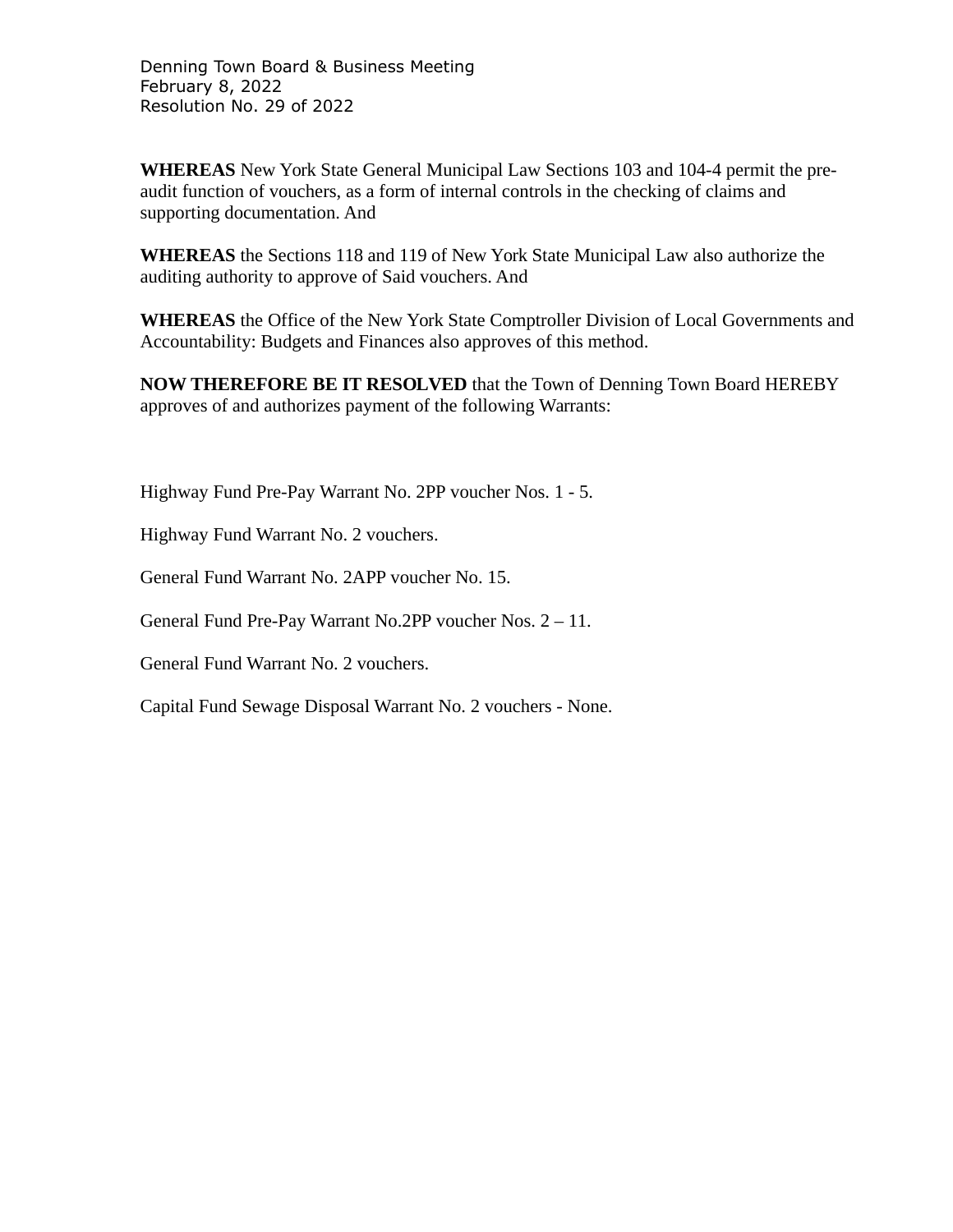Denning Town Board & Business Meeting February 8, 2022 Resolution No. 29 of 2022

**WHEREAS** New York State General Municipal Law Sections 103 and 104-4 permit the preaudit function of vouchers, as a form of internal controls in the checking of claims and supporting documentation. And

**WHEREAS** the Sections 118 and 119 of New York State Municipal Law also authorize the auditing authority to approve of Said vouchers. And

**WHEREAS** the Office of the New York State Comptroller Division of Local Governments and Accountability: Budgets and Finances also approves of this method.

**NOW THEREFORE BE IT RESOLVED** that the Town of Denning Town Board HEREBY approves of and authorizes payment of the following Warrants:

Highway Fund Pre-Pay Warrant No. 2PP voucher Nos. 1 - 5.

Highway Fund Warrant No. 2 vouchers.

General Fund Warrant No. 2APP voucher No. 15.

General Fund Pre-Pay Warrant No.2PP voucher Nos. 2 – 11.

General Fund Warrant No. 2 vouchers.

Capital Fund Sewage Disposal Warrant No. 2 vouchers - None.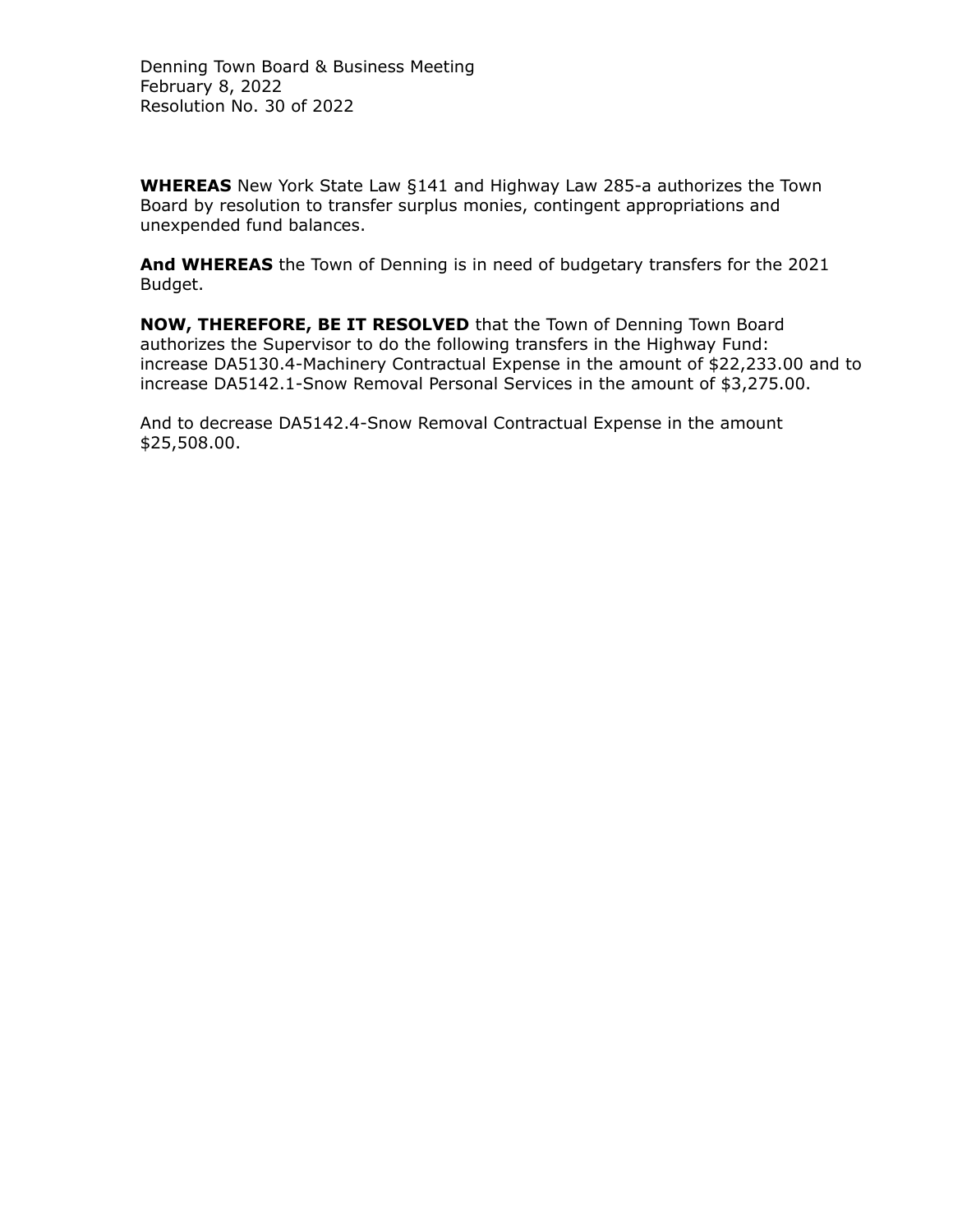**WHEREAS** New York State Law §141 and Highway Law 285-a authorizes the Town Board by resolution to transfer surplus monies, contingent appropriations and unexpended fund balances.

**And WHEREAS** the Town of Denning is in need of budgetary transfers for the 2021 Budget.

**NOW, THEREFORE, BE IT RESOLVED** that the Town of Denning Town Board authorizes the Supervisor to do the following transfers in the Highway Fund: increase DA5130.4-Machinery Contractual Expense in the amount of \$22,233.00 and to increase DA5142.1-Snow Removal Personal Services in the amount of \$3,275.00.

And to decrease DA5142.4-Snow Removal Contractual Expense in the amount \$25,508.00.